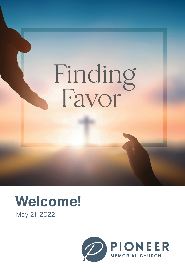# Finding<br>Favor

# May 21, 2022 **Welcome!**

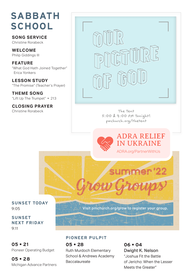# **SABBATH SCHOOL**

**SONG SERVICE**  Christine Rorabeck

**WELCOME**  Philip Giddings III

**FEATURE** "What God Hath Joined Together" Erica Yonkers

**LESSON STUDY**  "The Promise" (Teacher's Prayer)

**THEME SONG** "Lift Up The Trumpet" • 213

**CLOSING PRAYER** Christine Rorabeck



 **The Tent** The Tent 5:00 & 7:00 PM Tonight! pmchurch.org/thetent



**SUNSET TODAY** 9:05

Visit pmchurch.org/grow to register your group.

mer

**SUNSET NEXT FRIDAY** 9:11

**05 • 21** Pioneer Operating Budget

**05 • 28** Michigan Advance Partners

### **PIONEER PULPIT**

**05 • 28** Ruth Murdoch Elementary School & Andrews Academy **Baccalaureate** 

**06 • 04** Dwight K. Nelson "Joshua Fit the Battle of Jericho: When the Lesser Meets the Greater"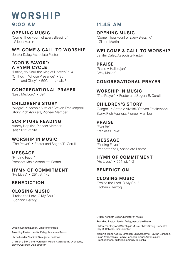# **WORSHIP**

### **OPENING MUSIC**

"Come, Thou Fount of Every Blessing" Gilbert Martin

### **WELCOME & CALL TO WORSHIP**

Jenifer Daley, Associate Pastor

### **"GOD'S FAVOR": A HYMN CYCLE**

"Praise, My Soul, the King of Heaven" • 4 "O Thou in Whose Presence" • 36 "Trust and Obey" • 590, st. 1, 4 alt. 5

### **CONGREGATIONAL PRAYER**

"Lead Me, Lord" • 691

### **CHILDREN'S STORY**

"Allegro" • Antonio Vivaldi / Steven Frackenpohl Story: Rich Aguilera, Pioneer Member

### **SCRIPTURE READING**

Aubrey Hopkins, Pioneer Member Isaiah 61:1-2 NIV

### **WORSHIP IN MUSIC** "The Prayer" • Foster and Sager / R. Cerulli

**MESSAGE** "Finding Favor" Prescott Khair, Associate Pastor

### **HYMN OF COMMITMENT**

"He Lives" • 251, st. 1-2

### **BENEDICTION**

**——————————**

### **CLOSING MUSIC**

"Praise the Lord, O My Soul" Johann Herzog

### **9:00 AM 11:45 AM**

### **OPENING MUSIC**

"Come, Thou Fount of Every Blessing" Gilbert Martin

### **WELCOME & CALL TO WORSHIP**

Jenifer Daley, Associate Pastor

### **PRAISE**

"Raise A Hallelujah" "Way Maker"

### **CONGREGATIONAL PRAYER**

**WORSHIP IN MUSIC** "The Prayer" • Foster and Sager / R. Cerulli

### **CHILDREN'S STORY**

"Allegro" • Antonio Vivaldi / Steven Frackenpohl Story: Rich Aguilera, Pioneer Member

### **PRAISE**

"Ever Be" "Reckless Love"

### **MESSAGE**

"Finding Favor" Prescott Khair, Associate Pastor

### **HYMN OF COMMITMENT**

"He Lives" • 251, st. 1-2

### **BENEDICTION**

**——————————**

### **CLOSING MUSIC**

"Praise the Lord, O My Soul" Johann Herzog

Organ: Kenneth Logan, Minister of Music

Presiding Pastor: Jenifer Daley, Associate Pastor

Children's Story and Worship in Music: RMES String Orchestra, Elsy M. Gallardo-Díaz, director

Worship Team: Audrey Simpson, Ella Stankovic, Havvah Schnepp, Sarah Ayaz, vocals; Peggy Schnepp, piano; Adriel, cajon; Grant Johnson, guitar; Solomon Miller, cello

Organ: Kenneth Logan, Minister of Music

Presiding Pastor: Jenifer Daley, Associate Pastor

Hymn Leader: Vladimir Slavujević, baritone;

Children's Story and Worship in Music: RMES String Orchestra, Elsy M. Gallardo-Díaz, director